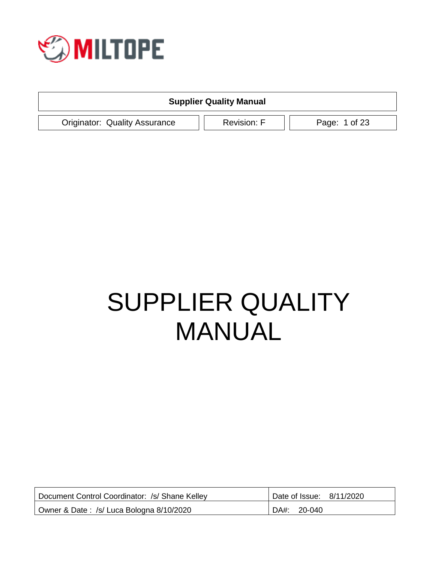

| <b>Supplier Quality Manual</b>       |                    |               |  |
|--------------------------------------|--------------------|---------------|--|
| <b>Originator: Quality Assurance</b> | <b>Revision: F</b> | Page: 1 of 23 |  |

# SUPPLIER QUALITY MANUAL

| Document Control Coordinator: /s/ Shane Kelley | Date of Issue: 8/11/2020 |
|------------------------------------------------|--------------------------|
| Owner & Date: /s/ Luca Bologna 8/10/2020       | DA#:<br>20-040           |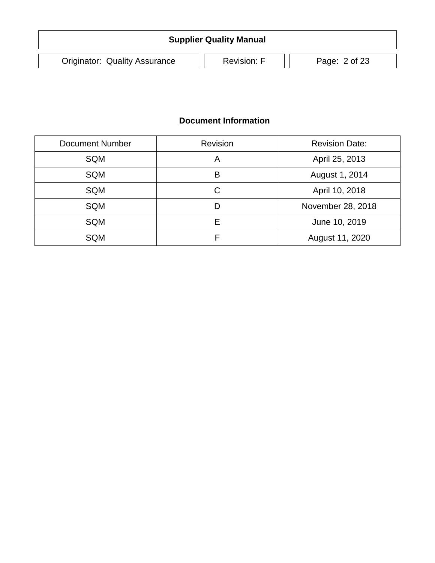| <b>Supplier Quality Manual</b>       |                                     |  |  |  |  |
|--------------------------------------|-------------------------------------|--|--|--|--|
| <b>Originator: Quality Assurance</b> | <b>Revision: F</b><br>Page: 2 of 23 |  |  |  |  |

### **Document Information**

| <b>Document Number</b> | Revision | <b>Revision Date:</b> |  |
|------------------------|----------|-----------------------|--|
| SQM                    | Α        | April 25, 2013        |  |
| SQM                    | B        | August 1, 2014        |  |
| SQM                    | C        | April 10, 2018        |  |
| SQM                    | D        | November 28, 2018     |  |
| <b>SQM</b>             | Е        | June 10, 2019         |  |
| <b>SQM</b>             |          | August 11, 2020       |  |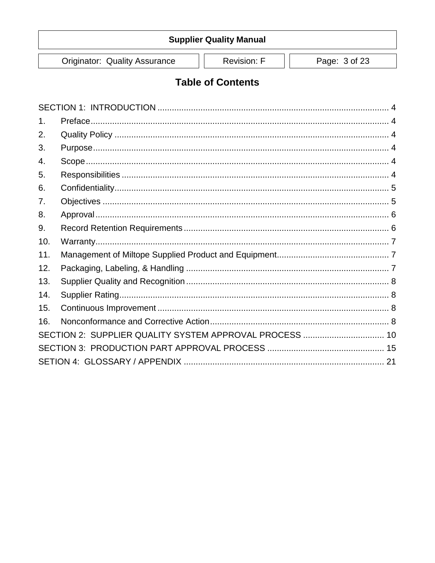**Originator: Quality Assurance** 

Revision: F

Page: 3 of 23

## **Table of Contents**

<span id="page-2-0"></span>

| 1.  |                                                         |  |
|-----|---------------------------------------------------------|--|
| 2.  |                                                         |  |
| 3.  |                                                         |  |
| 4.  |                                                         |  |
| 5.  |                                                         |  |
| 6.  |                                                         |  |
| 7.  |                                                         |  |
| 8.  |                                                         |  |
| 9.  |                                                         |  |
| 10. |                                                         |  |
| 11. |                                                         |  |
| 12. |                                                         |  |
| 13. |                                                         |  |
| 14. |                                                         |  |
| 15. |                                                         |  |
| 16. |                                                         |  |
|     | SECTION 2: SUPPLIER QUALITY SYSTEM APPROVAL PROCESS  10 |  |
|     |                                                         |  |
|     |                                                         |  |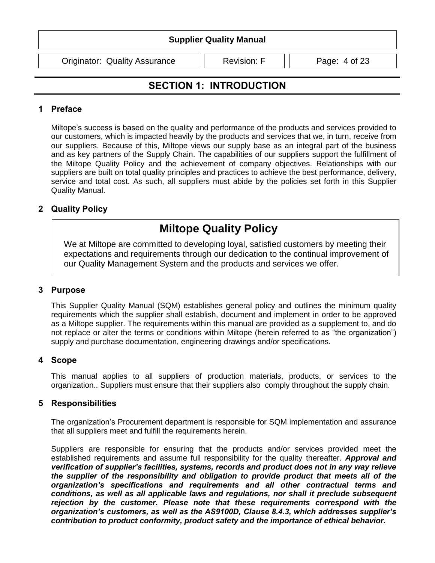Originator: Quality Assurance | | Revision: F | | Page: 4 of 23

## **SECTION 1: INTRODUCTION**

#### <span id="page-3-0"></span>**1 Preface**

Miltope's success is based on the quality and performance of the products and services provided to our customers, which is impacted heavily by the products and services that we, in turn, receive from our suppliers. Because of this, Miltope views our supply base as an integral part of the business and as key partners of the Supply Chain. The capabilities of our suppliers support the fulfillment of the Miltope Quality Policy and the achievement of company objectives. Relationships with our suppliers are built on total quality principles and practices to achieve the best performance, delivery, service and total cost. As such, all suppliers must abide by the policies set forth in this Supplier Quality Manual.

#### <span id="page-3-1"></span>**2 Quality Policy**

## **Miltope Quality Policy**

We at Miltope are committed to developing loyal, satisfied customers by meeting their expectations and requirements through our dedication to the continual improvement of our Quality Management System and the products and services we offer.

#### <span id="page-3-2"></span>**3 Purpose**

This Supplier Quality Manual (SQM) establishes general policy and outlines the minimum quality requirements which the supplier shall establish, document and implement in order to be approved as a Miltope supplier. The requirements within this manual are provided as a supplement to, and do not replace or alter the terms or conditions within Miltope (herein referred to as "the organization") supply and purchase documentation, engineering drawings and/or specifications.

#### <span id="page-3-3"></span>**4 Scope**

This manual applies to all suppliers of production materials, products, or services to the organization.. Suppliers must ensure that their suppliers also comply throughout the supply chain.

#### <span id="page-3-4"></span>**5 Responsibilities**

The organization's Procurement department is responsible for SQM implementation and assurance that all suppliers meet and fulfill the requirements herein.

Suppliers are responsible for ensuring that the products and/or services provided meet the established requirements and assume full responsibility for the quality thereafter. *Approval and verification of supplier's facilities, systems, records and product does not in any way relieve the supplier of the responsibility and obligation to provide product that meets all of the organization's specifications and requirements and all other contractual terms and conditions, as well as all applicable laws and regulations, nor shall it preclude subsequent rejection by the customer. Please note that these requirements correspond with the organization's customers, as well as the AS9100D, Clause 8.4.3, which addresses supplier's contribution to product conformity, product safety and the importance of ethical behavior.*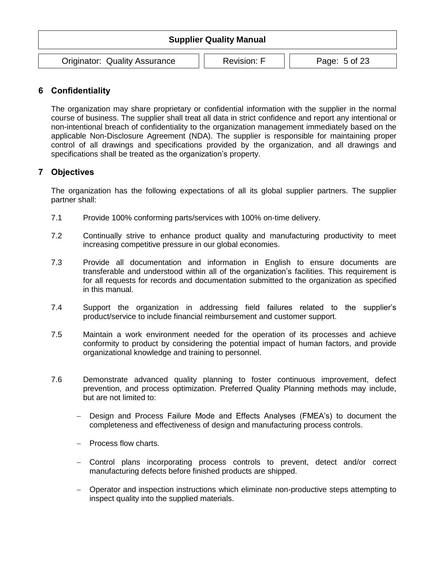| <b>Supplier Quality Manual</b>       |                    |               |  |
|--------------------------------------|--------------------|---------------|--|
| <b>Originator: Quality Assurance</b> | <b>Revision: F</b> | Page: 5 of 23 |  |

#### <span id="page-4-0"></span>**6 Confidentiality**

The organization may share proprietary or confidential information with the supplier in the normal course of business. The supplier shall treat all data in strict confidence and report any intentional or non-intentional breach of confidentiality to the organization management immediately based on the applicable Non-Disclosure Agreement (NDA). The supplier is responsible for maintaining proper control of all drawings and specifications provided by the organization, and all drawings and specifications shall be treated as the organization's property.

#### <span id="page-4-1"></span>**7 Objectives**

The organization has the following expectations of all its global supplier partners. The supplier partner shall:

- 7.1 Provide 100% conforming parts/services with 100% on-time delivery.
- 7.2 Continually strive to enhance product quality and manufacturing productivity to meet increasing competitive pressure in our global economies.
- 7.3 Provide all documentation and information in English to ensure documents are transferable and understood within all of the organization's facilities. This requirement is for all requests for records and documentation submitted to the organization as specified in this manual.
- 7.4 Support the organization in addressing field failures related to the supplier's product/service to include financial reimbursement and customer support.
- 7.5 Maintain a work environment needed for the operation of its processes and achieve conformity to product by considering the potential impact of human factors, and provide organizational knowledge and training to personnel.
- 7.6 Demonstrate advanced quality planning to foster continuous improvement, defect prevention, and process optimization. Preferred Quality Planning methods may include, but are not limited to:
	- Design and Process Failure Mode and Effects Analyses (FMEA's) to document the completeness and effectiveness of design and manufacturing process controls.
	- Process flow charts.
	- Control plans incorporating process controls to prevent, detect and/or correct manufacturing defects before finished products are shipped.
	- Operator and inspection instructions which eliminate non-productive steps attempting to inspect quality into the supplied materials.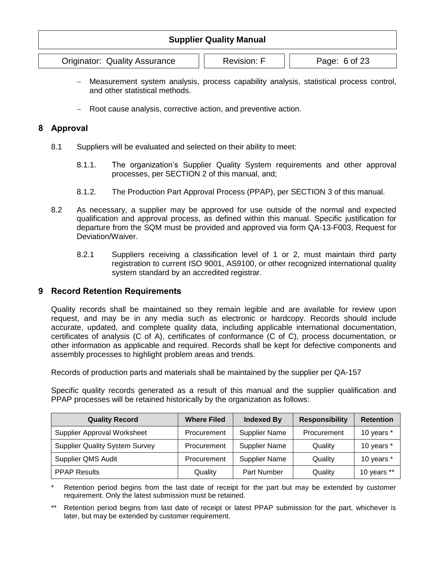Originator: Quality Assurance | | Revision: F | | Page: 6 of 23

- Measurement system analysis, process capability analysis, statistical process control, and other statistical methods.
- Root cause analysis, corrective action, and preventive action.

#### <span id="page-5-0"></span>**8 Approval**

- 8.1 Suppliers will be evaluated and selected on their ability to meet:
	- 8.1.1. The organization's Supplier Quality System requirements and other approval processes, per SECTION 2 of this manual, and;
	- 8.1.2. The Production Part Approval Process (PPAP), per SECTION 3 of this manual.
- 8.2 As necessary, a supplier may be approved for use outside of the normal and expected qualification and approval process, as defined within this manual. Specific justification for departure from the SQM must be provided and approved via form QA-13-F003, Request for Deviation/Waiver.
	- 8.2.1 Suppliers receiving a classification level of 1 or 2, must maintain third party registration to current ISO 9001, AS9100, or other recognized international quality system standard by an accredited registrar.

#### <span id="page-5-1"></span>**9 Record Retention Requirements**

Quality records shall be maintained so they remain legible and are available for review upon request, and may be in any media such as electronic or hardcopy. Records should include accurate, updated, and complete quality data, including applicable international documentation, certificates of analysis (C of A), certificates of conformance (C of C), process documentation, or other information as applicable and required. Records shall be kept for defective components and assembly processes to highlight problem areas and trends.

Records of production parts and materials shall be maintained by the supplier per QA-157

Specific quality records generated as a result of this manual and the supplier qualification and PPAP processes will be retained historically by the organization as follows:

| <b>Quality Record</b>                 | <b>Where Filed</b> | <b>Indexed By</b>    | <b>Responsibility</b> | <b>Retention</b> |
|---------------------------------------|--------------------|----------------------|-----------------------|------------------|
| <b>Supplier Approval Worksheet</b>    | Procurement        | Supplier Name        | Procurement           | 10 years *       |
| <b>Supplier Quality System Survey</b> | Procurement        | Supplier Name        | Quality               | 10 years *       |
| Supplier QMS Audit                    | Procurement        | <b>Supplier Name</b> | Quality               | 10 years *       |
| <b>PPAP Results</b>                   | Quality            | Part Number          | Quality               | 10 years **      |

Retention period begins from the last date of receipt for the part but may be extended by customer requirement. Only the latest submission must be retained.

Retention period begins from last date of receipt or latest PPAP submission for the part, whichever is later, but may be extended by customer requirement.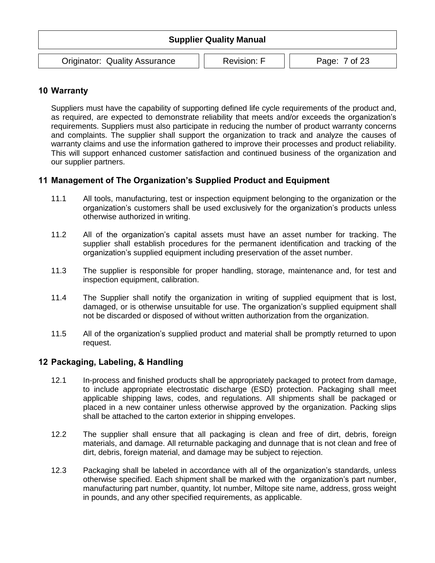| <b>Supplier Quality Manual</b>       |                                     |  |  |  |  |
|--------------------------------------|-------------------------------------|--|--|--|--|
| <b>Originator: Quality Assurance</b> | <b>Revision: F</b><br>Page: 7 of 23 |  |  |  |  |

#### <span id="page-6-0"></span>**10 Warranty**

Suppliers must have the capability of supporting defined life cycle requirements of the product and, as required, are expected to demonstrate reliability that meets and/or exceeds the organization's requirements. Suppliers must also participate in reducing the number of product warranty concerns and complaints. The supplier shall support the organization to track and analyze the causes of warranty claims and use the information gathered to improve their processes and product reliability. This will support enhanced customer satisfaction and continued business of the organization and our supplier partners.

#### <span id="page-6-1"></span>**11 Management of The Organization's Supplied Product and Equipment**

- 11.1 All tools, manufacturing, test or inspection equipment belonging to the organization or the organization's customers shall be used exclusively for the organization's products unless otherwise authorized in writing.
- 11.2 All of the organization's capital assets must have an asset number for tracking. The supplier shall establish procedures for the permanent identification and tracking of the organization's supplied equipment including preservation of the asset number.
- 11.3 The supplier is responsible for proper handling, storage, maintenance and, for test and inspection equipment, calibration.
- 11.4 The Supplier shall notify the organization in writing of supplied equipment that is lost, damaged, or is otherwise unsuitable for use. The organization's supplied equipment shall not be discarded or disposed of without written authorization from the organization.
- 11.5 All of the organization's supplied product and material shall be promptly returned to upon request.

#### <span id="page-6-2"></span>**12 Packaging, Labeling, & Handling**

- 12.1 In-process and finished products shall be appropriately packaged to protect from damage, to include appropriate electrostatic discharge (ESD) protection. Packaging shall meet applicable shipping laws, codes, and regulations. All shipments shall be packaged or placed in a new container unless otherwise approved by the organization. Packing slips shall be attached to the carton exterior in shipping envelopes.
- 12.2 The supplier shall ensure that all packaging is clean and free of dirt, debris, foreign materials, and damage. All returnable packaging and dunnage that is not clean and free of dirt, debris, foreign material, and damage may be subject to rejection.
- 12.3 Packaging shall be labeled in accordance with all of the organization's standards, unless otherwise specified. Each shipment shall be marked with the organization's part number, manufacturing part number, quantity, lot number, Miltope site name, address, gross weight in pounds, and any other specified requirements, as applicable.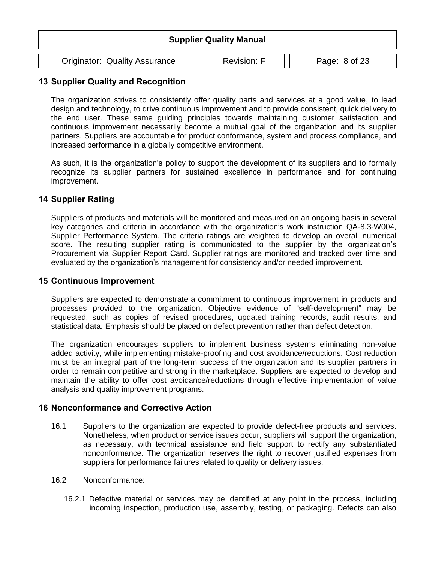| <b>Supplier Quality Manual</b>                                              |  |  |  |  |
|-----------------------------------------------------------------------------|--|--|--|--|
| <b>Originator: Quality Assurance</b><br><b>Revision: F</b><br>Page: 8 of 23 |  |  |  |  |

#### <span id="page-7-0"></span>**13 Supplier Quality and Recognition**

The organization strives to consistently offer quality parts and services at a good value, to lead design and technology, to drive continuous improvement and to provide consistent, quick delivery to the end user. These same guiding principles towards maintaining customer satisfaction and continuous improvement necessarily become a mutual goal of the organization and its supplier partners. Suppliers are accountable for product conformance, system and process compliance, and increased performance in a globally competitive environment.

As such, it is the organization's policy to support the development of its suppliers and to formally recognize its supplier partners for sustained excellence in performance and for continuing improvement.

#### <span id="page-7-1"></span>**14 Supplier Rating**

Suppliers of products and materials will be monitored and measured on an ongoing basis in several key categories and criteria in accordance with the organization's work instruction QA-8.3-W004, Supplier Performance System. The criteria ratings are weighted to develop an overall numerical score. The resulting supplier rating is communicated to the supplier by the organization's Procurement via Supplier Report Card. Supplier ratings are monitored and tracked over time and evaluated by the organization's management for consistency and/or needed improvement.

#### <span id="page-7-2"></span>**15 Continuous Improvement**

Suppliers are expected to demonstrate a commitment to continuous improvement in products and processes provided to the organization. Objective evidence of "self-development" may be requested, such as copies of revised procedures, updated training records, audit results, and statistical data. Emphasis should be placed on defect prevention rather than defect detection.

The organization encourages suppliers to implement business systems eliminating non-value added activity, while implementing mistake-proofing and cost avoidance/reductions. Cost reduction must be an integral part of the long-term success of the organization and its supplier partners in order to remain competitive and strong in the marketplace. Suppliers are expected to develop and maintain the ability to offer cost avoidance/reductions through effective implementation of value analysis and quality improvement programs.

#### <span id="page-7-3"></span>**16 Nonconformance and Corrective Action**

- 16.1 Suppliers to the organization are expected to provide defect-free products and services. Nonetheless, when product or service issues occur, suppliers will support the organization, as necessary, with technical assistance and field support to rectify any substantiated nonconformance. The organization reserves the right to recover justified expenses from suppliers for performance failures related to quality or delivery issues.
- 16.2 Nonconformance:
	- 16.2.1 Defective material or services may be identified at any point in the process, including incoming inspection, production use, assembly, testing, or packaging. Defects can also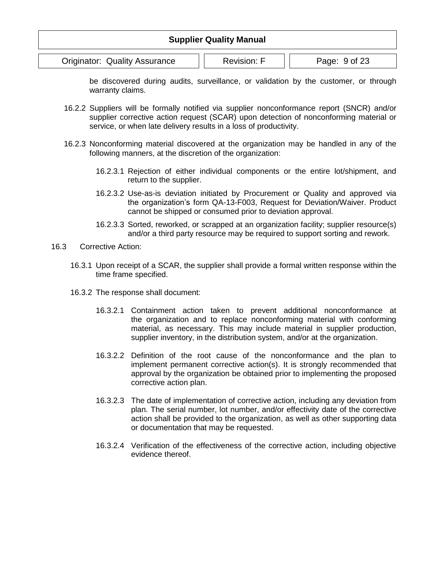|                                                                             | <b>Supplier Quality Manual</b> |  |  |  |
|-----------------------------------------------------------------------------|--------------------------------|--|--|--|
| <b>Originator: Quality Assurance</b><br><b>Revision: F</b><br>Page: 9 of 23 |                                |  |  |  |

be discovered during audits, surveillance, or validation by the customer, or through warranty claims.

- 16.2.2 Suppliers will be formally notified via supplier nonconformance report (SNCR) and/or supplier corrective action request (SCAR) upon detection of nonconforming material or service, or when late delivery results in a loss of productivity.
- 16.2.3 Nonconforming material discovered at the organization may be handled in any of the following manners, at the discretion of the organization:
	- 16.2.3.1 Rejection of either individual components or the entire lot/shipment, and return to the supplier.
	- 16.2.3.2 Use-as-is deviation initiated by Procurement or Quality and approved via the organization's form QA-13-F003, Request for Deviation/Waiver. Product cannot be shipped or consumed prior to deviation approval.
	- 16.2.3.3 Sorted, reworked, or scrapped at an organization facility; supplier resource(s) and/or a third party resource may be required to support sorting and rework.
- 16.3 Corrective Action:
	- 16.3.1 Upon receipt of a SCAR, the supplier shall provide a formal written response within the time frame specified.
	- 16.3.2 The response shall document:
		- 16.3.2.1 Containment action taken to prevent additional nonconformance at the organization and to replace nonconforming material with conforming material, as necessary. This may include material in supplier production, supplier inventory, in the distribution system, and/or at the organization.
		- 16.3.2.2 Definition of the root cause of the nonconformance and the plan to implement permanent corrective action(s). It is strongly recommended that approval by the organization be obtained prior to implementing the proposed corrective action plan.
		- 16.3.2.3 The date of implementation of corrective action, including any deviation from plan. The serial number, lot number, and/or effectivity date of the corrective action shall be provided to the organization, as well as other supporting data or documentation that may be requested.
		- 16.3.2.4 Verification of the effectiveness of the corrective action, including objective evidence thereof.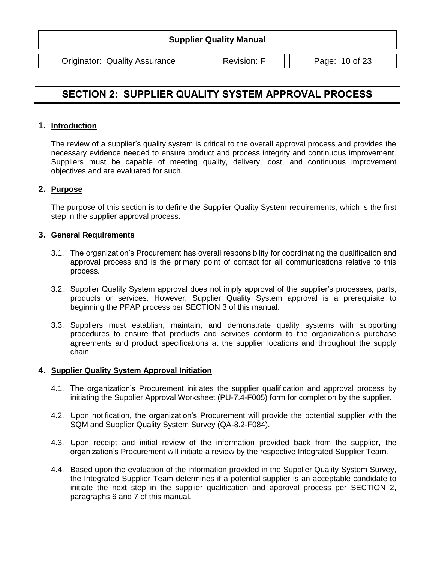Originator: Quality Assurance | | Revision: F | | Page: 10 of 23

## <span id="page-9-0"></span>**SECTION 2: SUPPLIER QUALITY SYSTEM APPROVAL PROCESS**

#### **1. Introduction**

The review of a supplier's quality system is critical to the overall approval process and provides the necessary evidence needed to ensure product and process integrity and continuous improvement. Suppliers must be capable of meeting quality, delivery, cost, and continuous improvement objectives and are evaluated for such.

#### **2. Purpose**

The purpose of this section is to define the Supplier Quality System requirements, which is the first step in the supplier approval process.

#### **3. General Requirements**

- 3.1. The organization's Procurement has overall responsibility for coordinating the qualification and approval process and is the primary point of contact for all communications relative to this process.
- 3.2. Supplier Quality System approval does not imply approval of the supplier's processes, parts, products or services. However, Supplier Quality System approval is a prerequisite to beginning the PPAP process per SECTION 3 of this manual.
- 3.3. Suppliers must establish, maintain, and demonstrate quality systems with supporting procedures to ensure that products and services conform to the organization's purchase agreements and product specifications at the supplier locations and throughout the supply chain.

#### **4. Supplier Quality System Approval Initiation**

- 4.1. The organization's Procurement initiates the supplier qualification and approval process by initiating the Supplier Approval Worksheet (PU-7.4-F005) form for completion by the supplier.
- 4.2. Upon notification, the organization's Procurement will provide the potential supplier with the SQM and Supplier Quality System Survey (QA-8.2-F084).
- 4.3. Upon receipt and initial review of the information provided back from the supplier, the organization's Procurement will initiate a review by the respective Integrated Supplier Team.
- 4.4. Based upon the evaluation of the information provided in the Supplier Quality System Survey, the Integrated Supplier Team determines if a potential supplier is an acceptable candidate to initiate the next step in the supplier qualification and approval process per SECTION 2, paragraphs 6 and 7 of this manual.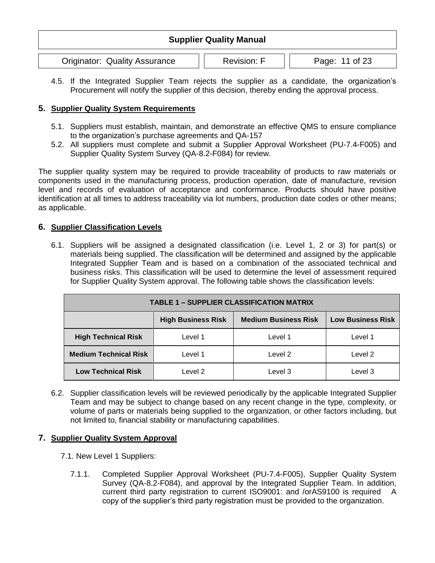| <b>Supplier Quality Manual</b>                                               |  |  |  |  |
|------------------------------------------------------------------------------|--|--|--|--|
| <b>Originator: Quality Assurance</b><br><b>Revision: F</b><br>Page: 11 of 23 |  |  |  |  |

4.5. If the Integrated Supplier Team rejects the supplier as a candidate, the organization's Procurement will notify the supplier of this decision, thereby ending the approval process.

#### **5. Supplier Quality System Requirements**

- 5.1. Suppliers must establish, maintain, and demonstrate an effective QMS to ensure compliance to the organization's purchase agreements and QA-157
- 5.2. All suppliers must complete and submit a Supplier Approval Worksheet (PU-7.4-F005) and Supplier Quality System Survey (QA-8.2-F084) for review.

The supplier quality system may be required to provide traceability of products to raw materials or components used in the manufacturing process, production operation, date of manufacture, revision level and records of evaluation of acceptance and conformance. Products should have positive identification at all times to address traceability via lot numbers, production date codes or other means; as applicable.

#### **6. Supplier Classification Levels**

6.1. Suppliers will be assigned a designated classification (i.e. Level 1, 2 or 3) for part(s) or materials being supplied. The classification will be determined and assigned by the applicable Integrated Supplier Team and is based on a combination of the associated technical and business risks. This classification will be used to determine the level of assessment required for Supplier Quality System approval. The following table shows the classification levels:

| <b>TABLE 1 - SUPPLIER CLASSIFICATION MATRIX</b> |                                                                                      |         |         |  |
|-------------------------------------------------|--------------------------------------------------------------------------------------|---------|---------|--|
|                                                 | <b>High Business Risk</b><br><b>Medium Business Risk</b><br><b>Low Business Risk</b> |         |         |  |
| <b>High Technical Risk</b>                      | Level 1                                                                              | Level 1 | Level 1 |  |
| <b>Medium Technical Risk</b>                    | Level 1                                                                              | Level 2 | Level 2 |  |
| <b>Low Technical Risk</b>                       | Level 2                                                                              | Level 3 | Level 3 |  |

6.2. Supplier classification levels will be reviewed periodically by the applicable Integrated Supplier Team and may be subject to change based on any recent change in the type, complexity, or volume of parts or materials being supplied to the organization, or other factors including, but not limited to, financial stability or manufacturing capabilities.

#### **7. Supplier Quality System Approval**

- 7.1. New Level 1 Suppliers:
	- 7.1.1. Completed Supplier Approval Worksheet (PU-7.4-F005), Supplier Quality System Survey (QA-8.2-F084), and approval by the Integrated Supplier Team. In addition, current third party registration to current ISO9001: and /orAS9100 is required A copy of the supplier's third party registration must be provided to the organization.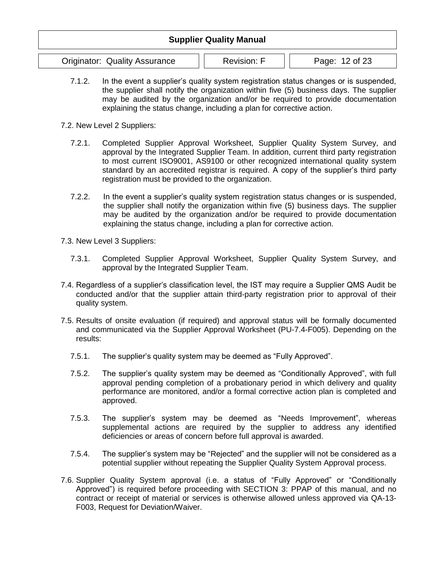## **Supplier Quality Manual** Originator: Quality Assurance | | Revision: F | | Page: 12 of 23

- 7.1.2. In the event a supplier's quality system registration status changes or is suspended, the supplier shall notify the organization within five (5) business days. The supplier may be audited by the organization and/or be required to provide documentation explaining the status change, including a plan for corrective action.
- 7.2. New Level 2 Suppliers:
	- 7.2.1. Completed Supplier Approval Worksheet, Supplier Quality System Survey, and approval by the Integrated Supplier Team. In addition, current third party registration to most current ISO9001, AS9100 or other recognized international quality system standard by an accredited registrar is required. A copy of the supplier's third party registration must be provided to the organization.
	- 7.2.2. In the event a supplier's quality system registration status changes or is suspended, the supplier shall notify the organization within five (5) business days. The supplier may be audited by the organization and/or be required to provide documentation explaining the status change, including a plan for corrective action.
- 7.3. New Level 3 Suppliers:
	- 7.3.1. Completed Supplier Approval Worksheet, Supplier Quality System Survey, and approval by the Integrated Supplier Team.
- 7.4. Regardless of a supplier's classification level, the IST may require a Supplier QMS Audit be conducted and/or that the supplier attain third-party registration prior to approval of their quality system.
- 7.5. Results of onsite evaluation (if required) and approval status will be formally documented and communicated via the Supplier Approval Worksheet (PU-7.4-F005). Depending on the results:
	- 7.5.1. The supplier's quality system may be deemed as "Fully Approved".
	- 7.5.2. The supplier's quality system may be deemed as "Conditionally Approved", with full approval pending completion of a probationary period in which delivery and quality performance are monitored, and/or a formal corrective action plan is completed and approved.
	- 7.5.3. The supplier's system may be deemed as "Needs Improvement", whereas supplemental actions are required by the supplier to address any identified deficiencies or areas of concern before full approval is awarded.
	- 7.5.4. The supplier's system may be "Rejected" and the supplier will not be considered as a potential supplier without repeating the Supplier Quality System Approval process.
- 7.6. Supplier Quality System approval (i.e. a status of "Fully Approved" or "Conditionally Approved") is required before proceeding with SECTION 3: PPAP of this manual, and no contract or receipt of material or services is otherwise allowed unless approved via QA-13- F003, Request for Deviation/Waiver.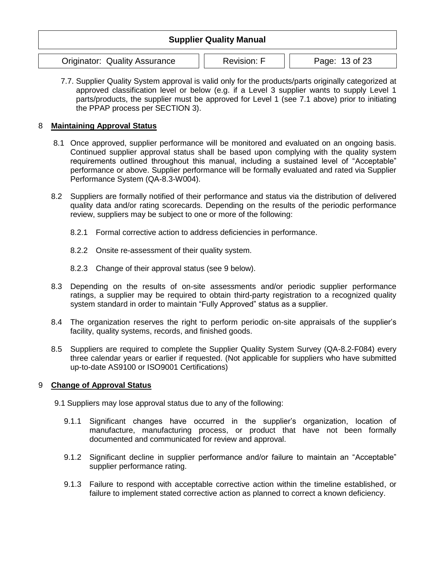## **Supplier Quality Manual** Originator: Quality Assurance | | Revision: F | | Page: 13 of 23

7.7. Supplier Quality System approval is valid only for the products/parts originally categorized at approved classification level or below (e.g. if a Level 3 supplier wants to supply Level 1 parts/products, the supplier must be approved for Level 1 (see 7.1 above) prior to initiating the PPAP process per SECTION 3).

#### 8 **Maintaining Approval Status**

- 8.1 Once approved, supplier performance will be monitored and evaluated on an ongoing basis. Continued supplier approval status shall be based upon complying with the quality system requirements outlined throughout this manual, including a sustained level of "Acceptable" performance or above. Supplier performance will be formally evaluated and rated via Supplier Performance System (QA-8.3-W004).
- 8.2 Suppliers are formally notified of their performance and status via the distribution of delivered quality data and/or rating scorecards. Depending on the results of the periodic performance review, suppliers may be subject to one or more of the following:
	- 8.2.1 Formal corrective action to address deficiencies in performance.
	- 8.2.2 Onsite re-assessment of their quality system.
	- 8.2.3 Change of their approval status (see 9 below).
- 8.3 Depending on the results of on-site assessments and/or periodic supplier performance ratings, a supplier may be required to obtain third-party registration to a recognized quality system standard in order to maintain "Fully Approved" status as a supplier.
- 8.4 The organization reserves the right to perform periodic on-site appraisals of the supplier's facility, quality systems, records, and finished goods.
- 8.5 Suppliers are required to complete the Supplier Quality System Survey (QA-8.2-F084) every three calendar years or earlier if requested. (Not applicable for suppliers who have submitted up-to-date AS9100 or ISO9001 Certifications)

#### 9 **Change of Approval Status**

- 9.1 Suppliers may lose approval status due to any of the following:
	- 9.1.1 Significant changes have occurred in the supplier's organization, location of manufacture, manufacturing process, or product that have not been formally documented and communicated for review and approval.
	- 9.1.2 Significant decline in supplier performance and/or failure to maintain an "Acceptable" supplier performance rating.
	- 9.1.3 Failure to respond with acceptable corrective action within the timeline established, or failure to implement stated corrective action as planned to correct a known deficiency.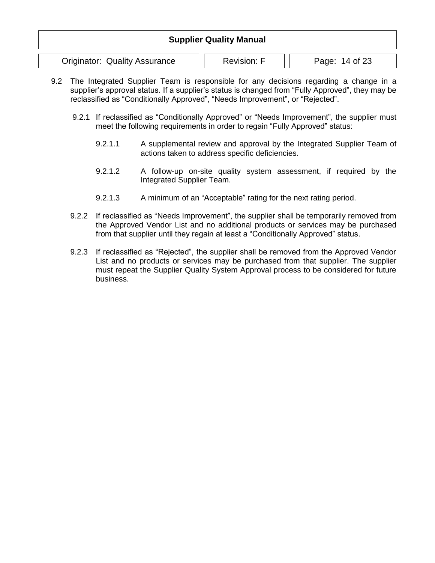| <b>Supplier Quality Manual</b>       |                    |                |  |  |
|--------------------------------------|--------------------|----------------|--|--|
| <b>Originator: Quality Assurance</b> | <b>Revision: F</b> | Page: 14 of 23 |  |  |

- 9.2 The Integrated Supplier Team is responsible for any decisions regarding a change in a supplier's approval status. If a supplier's status is changed from "Fully Approved", they may be reclassified as "Conditionally Approved", "Needs Improvement", or "Rejected".
	- 9.2.1 If reclassified as "Conditionally Approved" or "Needs Improvement", the supplier must meet the following requirements in order to regain "Fully Approved" status:
		- 9.2.1.1 A supplemental review and approval by the Integrated Supplier Team of actions taken to address specific deficiencies.
		- 9.2.1.2 A follow-up on-site quality system assessment, if required by the Integrated Supplier Team.
		- 9.2.1.3 A minimum of an "Acceptable" rating for the next rating period.
	- 9.2.2 If reclassified as "Needs Improvement", the supplier shall be temporarily removed from the Approved Vendor List and no additional products or services may be purchased from that supplier until they regain at least a "Conditionally Approved" status.
	- 9.2.3 If reclassified as "Rejected", the supplier shall be removed from the Approved Vendor List and no products or services may be purchased from that supplier. The supplier must repeat the Supplier Quality System Approval process to be considered for future business.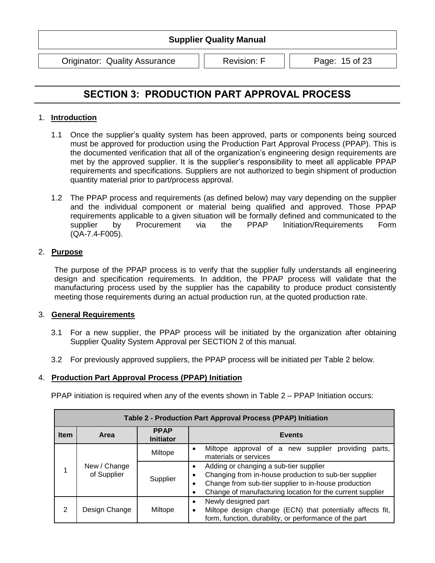Originator: Quality Assurance | | Revision: F | | Page: 15 of 23

## <span id="page-14-0"></span>**SECTION 3: PRODUCTION PART APPROVAL PROCESS**

#### 1. **Introduction**

- 1.1 Once the supplier's quality system has been approved, parts or components being sourced must be approved for production using the Production Part Approval Process (PPAP). This is the documented verification that all of the organization's engineering design requirements are met by the approved supplier. It is the supplier's responsibility to meet all applicable PPAP requirements and specifications. Suppliers are not authorized to begin shipment of production quantity material prior to part/process approval.
- 1.2 The PPAP process and requirements (as defined below) may vary depending on the supplier and the individual component or material being qualified and approved. Those PPAP requirements applicable to a given situation will be formally defined and communicated to the supplier by Procurement via the PPAP Initiation/Requirements Form (QA-7.4-F005).

#### 2. **Purpose**

The purpose of the PPAP process is to verify that the supplier fully understands all engineering design and specification requirements. In addition, the PPAP process will validate that the manufacturing process used by the supplier has the capability to produce product consistently meeting those requirements during an actual production run, at the quoted production rate.

#### 3. **General Requirements**

- 3.1 For a new supplier, the PPAP process will be initiated by the organization after obtaining Supplier Quality System Approval per SECTION 2 of this manual.
- 3.2 For previously approved suppliers, the PPAP process will be initiated per Table 2 below.

#### 4. **Production Part Approval Process (PPAP) Initiation**

PPAP initiation is required when any of the events shown in Table 2 – PPAP Initiation occurs:

| Table 2 - Production Part Approval Process (PPAP) Initiation |                             |                                 |                                                                                                                                                                                                                       |  |
|--------------------------------------------------------------|-----------------------------|---------------------------------|-----------------------------------------------------------------------------------------------------------------------------------------------------------------------------------------------------------------------|--|
| <b>Item</b>                                                  | Area                        | <b>PPAP</b><br><b>Initiator</b> | <b>Events</b>                                                                                                                                                                                                         |  |
|                                                              | New / Change<br>of Supplier | Miltope                         | Miltope approval of a new supplier<br>providing<br>parts.<br>materials or services                                                                                                                                    |  |
|                                                              |                             | Supplier                        | Adding or changing a sub-tier supplier<br>Changing from in-house production to sub-tier supplier<br>Change from sub-tier supplier to in-house production<br>Change of manufacturing location for the current supplier |  |
| $\mathcal{P}$                                                | Design Change               | Miltope                         | Newly designed part<br>Miltope design change (ECN) that potentially affects fit,<br>٠<br>form, function, durability, or performance of the part                                                                       |  |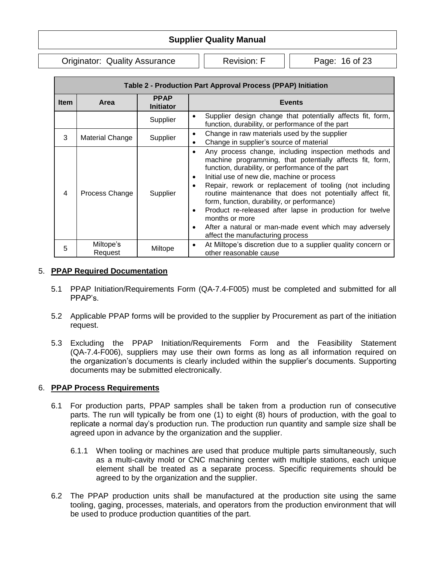Originator: Quality Assurance | | Revision: F | | Page: 16 of 23

| Table 2 - Production Part Approval Process (PPAP) Initiation |                        |                                 |                                                                                                                                                                                                                                                                                                                                                                                                                                                                                                                                                                      |  |
|--------------------------------------------------------------|------------------------|---------------------------------|----------------------------------------------------------------------------------------------------------------------------------------------------------------------------------------------------------------------------------------------------------------------------------------------------------------------------------------------------------------------------------------------------------------------------------------------------------------------------------------------------------------------------------------------------------------------|--|
| <b>Item</b>                                                  | Area                   | <b>PPAP</b><br><b>Initiator</b> | <b>Events</b>                                                                                                                                                                                                                                                                                                                                                                                                                                                                                                                                                        |  |
|                                                              |                        | Supplier                        | Supplier design change that potentially affects fit, form,<br>function, durability, or performance of the part                                                                                                                                                                                                                                                                                                                                                                                                                                                       |  |
| 3                                                            | <b>Material Change</b> | Supplier                        | Change in raw materials used by the supplier<br>٠<br>Change in supplier's source of material                                                                                                                                                                                                                                                                                                                                                                                                                                                                         |  |
| 4                                                            | Process Change         | Supplier                        | Any process change, including inspection methods and<br>machine programming, that potentially affects fit, form,<br>function, durability, or performance of the part<br>Initial use of new die, machine or process<br>Repair, rework or replacement of tooling (not including<br>routine maintenance that does not potentially affect fit,<br>form, function, durability, or performance)<br>Product re-released after lapse in production for twelve<br>months or more<br>After a natural or man-made event which may adversely<br>affect the manufacturing process |  |
| 5                                                            | Miltope's<br>Request   | Miltope                         | At Miltope's discretion due to a supplier quality concern or<br>other reasonable cause                                                                                                                                                                                                                                                                                                                                                                                                                                                                               |  |

#### 5. **PPAP Required Documentation**

- 5.1 PPAP Initiation/Requirements Form (QA-7.4-F005) must be completed and submitted for all PPAP's.
- 5.2 Applicable PPAP forms will be provided to the supplier by Procurement as part of the initiation request.
- 5.3 Excluding the PPAP Initiation/Requirements Form and the Feasibility Statement (QA-7.4-F006), suppliers may use their own forms as long as all information required on the organization's documents is clearly included within the supplier's documents. Supporting documents may be submitted electronically.

#### 6. **PPAP Process Requirements**

- 6.1 For production parts, PPAP samples shall be taken from a production run of consecutive parts. The run will typically be from one (1) to eight (8) hours of production, with the goal to replicate a normal day's production run. The production run quantity and sample size shall be agreed upon in advance by the organization and the supplier.
	- 6.1.1 When tooling or machines are used that produce multiple parts simultaneously, such as a multi-cavity mold or CNC machining center with multiple stations, each unique element shall be treated as a separate process. Specific requirements should be agreed to by the organization and the supplier.
- 6.2 The PPAP production units shall be manufactured at the production site using the same tooling, gaging, processes, materials, and operators from the production environment that will be used to produce production quantities of the part.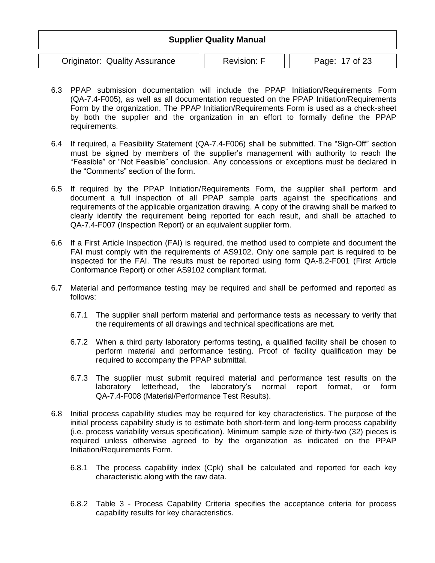|                                      | <b>Supplier Quality Manual</b> |                |
|--------------------------------------|--------------------------------|----------------|
| <b>Originator: Quality Assurance</b> | <b>Revision: F</b>             | Page: 17 of 23 |

- 6.3 PPAP submission documentation will include the PPAP Initiation/Requirements Form (QA-7.4-F005), as well as all documentation requested on the PPAP Initiation/Requirements Form by the organization. The PPAP Initiation/Requirements Form is used as a check-sheet by both the supplier and the organization in an effort to formally define the PPAP requirements.
- 6.4 If required, a Feasibility Statement (QA-7.4-F006) shall be submitted. The "Sign-Off" section must be signed by members of the supplier's management with authority to reach the "Feasible" or "Not Feasible" conclusion. Any concessions or exceptions must be declared in the "Comments" section of the form.
- 6.5 If required by the PPAP Initiation/Requirements Form, the supplier shall perform and document a full inspection of all PPAP sample parts against the specifications and requirements of the applicable organization drawing. A copy of the drawing shall be marked to clearly identify the requirement being reported for each result, and shall be attached to QA-7.4-F007 (Inspection Report) or an equivalent supplier form.
- 6.6 If a First Article Inspection (FAI) is required, the method used to complete and document the FAI must comply with the requirements of AS9102. Only one sample part is required to be inspected for the FAI. The results must be reported using form QA-8.2-F001 (First Article Conformance Report) or other AS9102 compliant format.
- 6.7 Material and performance testing may be required and shall be performed and reported as follows:
	- 6.7.1 The supplier shall perform material and performance tests as necessary to verify that the requirements of all drawings and technical specifications are met.
	- 6.7.2 When a third party laboratory performs testing, a qualified facility shall be chosen to perform material and performance testing. Proof of facility qualification may be required to accompany the PPAP submittal.
	- 6.7.3 The supplier must submit required material and performance test results on the laboratory letterhead, the laboratory's normal report format, or form QA-7.4-F008 (Material/Performance Test Results).
- 6.8 Initial process capability studies may be required for key characteristics. The purpose of the initial process capability study is to estimate both short-term and long-term process capability (i.e. process variability versus specification). Minimum sample size of thirty-two (32) pieces is required unless otherwise agreed to by the organization as indicated on the PPAP Initiation/Requirements Form.
	- 6.8.1 The process capability index (Cpk) shall be calculated and reported for each key characteristic along with the raw data.
	- 6.8.2 Table 3 Process Capability Criteria specifies the acceptance criteria for process capability results for key characteristics.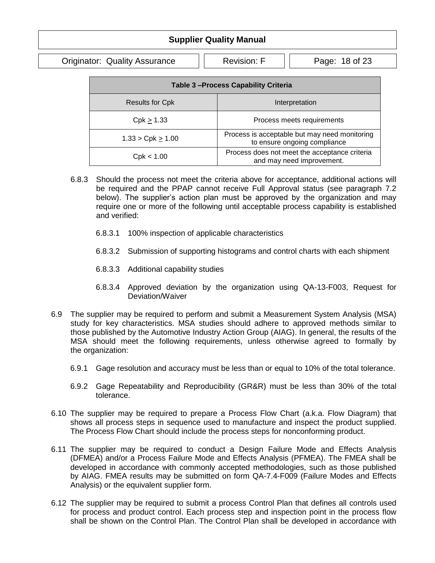Originator: Quality Assurance | | Revision: F | | Page: 18 of 23

| <b>Table 3-Process Capability Criteria</b> |                                                                               |  |  |
|--------------------------------------------|-------------------------------------------------------------------------------|--|--|
| <b>Results for Cpk</b>                     | Interpretation                                                                |  |  |
| $Cpk \geq 1.33$                            | Process meets requirements                                                    |  |  |
| 1.33 > Cpk > 1.00                          | Process is acceptable but may need monitoring<br>to ensure ongoing compliance |  |  |
| Cpk < 1.00                                 | Process does not meet the acceptance criteria<br>and may need improvement.    |  |  |

- 6.8.3 Should the process not meet the criteria above for acceptance, additional actions will be required and the PPAP cannot receive Full Approval status (see paragraph 7.2 below). The supplier's action plan must be approved by the organization and may require one or more of the following until acceptable process capability is established and verified:
	- 6.8.3.1 100% inspection of applicable characteristics
	- 6.8.3.2 Submission of supporting histograms and control charts with each shipment
	- 6.8.3.3 Additional capability studies
	- 6.8.3.4 Approved deviation by the organization using QA-13-F003, Request for Deviation/Waiver
- 6.9 The supplier may be required to perform and submit a Measurement System Analysis (MSA) study for key characteristics. MSA studies should adhere to approved methods similar to those published by the Automotive Industry Action Group (AIAG). In general, the results of the MSA should meet the following requirements, unless otherwise agreed to formally by the organization:
	- 6.9.1 Gage resolution and accuracy must be less than or equal to 10% of the total tolerance.
	- 6.9.2 Gage Repeatability and Reproducibility (GR&R) must be less than 30% of the total tolerance.
- 6.10 The supplier may be required to prepare a Process Flow Chart (a.k.a. Flow Diagram) that shows all process steps in sequence used to manufacture and inspect the product supplied. The Process Flow Chart should include the process steps for nonconforming product.
- 6.11 The supplier may be required to conduct a Design Failure Mode and Effects Analysis (DFMEA) and/or a Process Failure Mode and Effects Analysis (PFMEA). The FMEA shall be developed in accordance with commonly accepted methodologies, such as those published by AIAG. FMEA results may be submitted on form QA-7.4-F009 (Failure Modes and Effects Analysis) or the equivalent supplier form.
- 6.12 The supplier may be required to submit a process Control Plan that defines all controls used for process and product control. Each process step and inspection point in the process flow shall be shown on the Control Plan. The Control Plan shall be developed in accordance with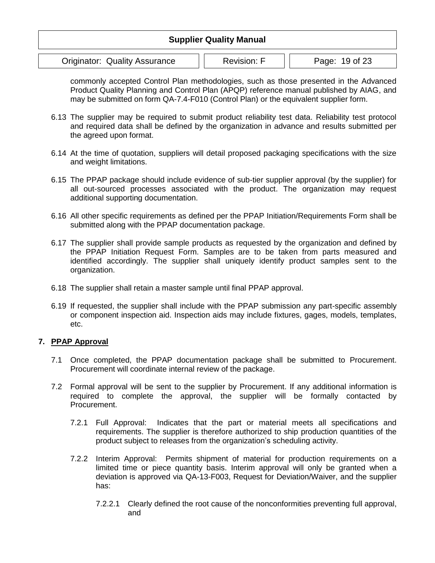|                                      | <b>Supplier Quality Manual</b> |                |
|--------------------------------------|--------------------------------|----------------|
| <b>Originator: Quality Assurance</b> | <b>Revision: F</b>             | Page: 19 of 23 |

commonly accepted Control Plan methodologies, such as those presented in the Advanced Product Quality Planning and Control Plan (APQP) reference manual published by AIAG, and may be submitted on form QA-7.4-F010 (Control Plan) or the equivalent supplier form.

- 6.13 The supplier may be required to submit product reliability test data. Reliability test protocol and required data shall be defined by the organization in advance and results submitted per the agreed upon format.
- 6.14 At the time of quotation, suppliers will detail proposed packaging specifications with the size and weight limitations.
- 6.15 The PPAP package should include evidence of sub-tier supplier approval (by the supplier) for all out-sourced processes associated with the product. The organization may request additional supporting documentation.
- 6.16 All other specific requirements as defined per the PPAP Initiation/Requirements Form shall be submitted along with the PPAP documentation package.
- 6.17 The supplier shall provide sample products as requested by the organization and defined by the PPAP Initiation Request Form. Samples are to be taken from parts measured and identified accordingly. The supplier shall uniquely identify product samples sent to the organization.
- 6.18 The supplier shall retain a master sample until final PPAP approval.
- 6.19 If requested, the supplier shall include with the PPAP submission any part-specific assembly or component inspection aid. Inspection aids may include fixtures, gages, models, templates, etc.

#### **7. PPAP Approval**

- 7.1 Once completed, the PPAP documentation package shall be submitted to Procurement. Procurement will coordinate internal review of the package.
- 7.2 Formal approval will be sent to the supplier by Procurement. If any additional information is required to complete the approval, the supplier will be formally contacted by Procurement.
	- 7.2.1 Full Approval: Indicates that the part or material meets all specifications and requirements. The supplier is therefore authorized to ship production quantities of the product subject to releases from the organization's scheduling activity.
	- 7.2.2 Interim Approval: Permits shipment of material for production requirements on a limited time or piece quantity basis. Interim approval will only be granted when a deviation is approved via QA-13-F003, Request for Deviation/Waiver, and the supplier has:
		- 7.2.2.1 Clearly defined the root cause of the nonconformities preventing full approval, and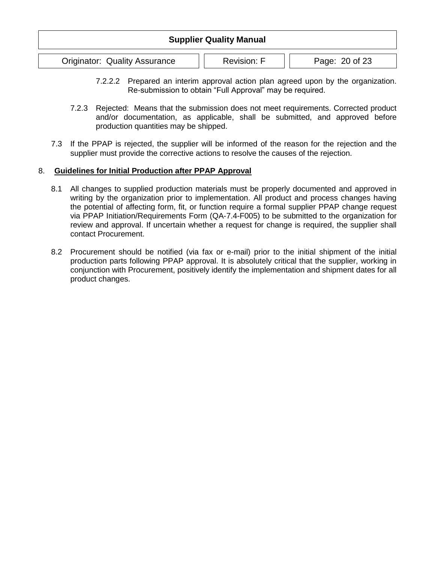| <b>Supplier Quality Manual</b>       |                    |                |  |  |
|--------------------------------------|--------------------|----------------|--|--|
| <b>Originator: Quality Assurance</b> | <b>Revision: F</b> | Page: 20 of 23 |  |  |

- 7.2.2.2 Prepared an interim approval action plan agreed upon by the organization. Re-submission to obtain "Full Approval" may be required.
- 7.2.3 Rejected: Means that the submission does not meet requirements. Corrected product and/or documentation, as applicable, shall be submitted, and approved before production quantities may be shipped.
- 7.3 If the PPAP is rejected, the supplier will be informed of the reason for the rejection and the supplier must provide the corrective actions to resolve the causes of the rejection.

#### 8. **Guidelines for Initial Production after PPAP Approval**

- 8.1 All changes to supplied production materials must be properly documented and approved in writing by the organization prior to implementation. All product and process changes having the potential of affecting form, fit, or function require a formal supplier PPAP change request via PPAP Initiation/Requirements Form (QA-7.4-F005) to be submitted to the organization for review and approval. If uncertain whether a request for change is required, the supplier shall contact Procurement.
- 8.2 Procurement should be notified (via fax or e-mail) prior to the initial shipment of the initial production parts following PPAP approval. It is absolutely critical that the supplier, working in conjunction with Procurement, positively identify the implementation and shipment dates for all product changes.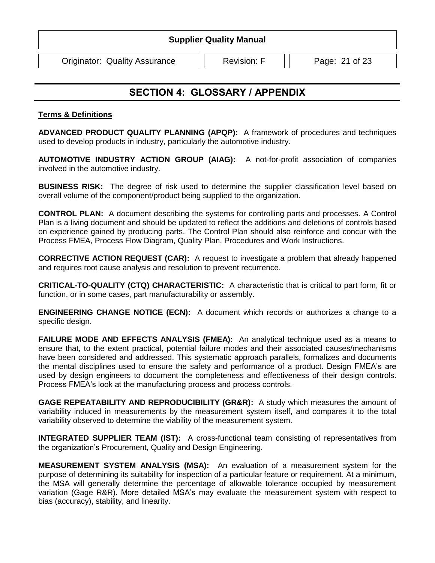Originator: Quality Assurance | | Revision: F | | Page: 21 of 23

### <span id="page-20-0"></span>**SECTION 4: GLOSSARY / APPENDIX**

#### **Terms & Definitions**

**ADVANCED PRODUCT QUALITY PLANNING (APQP):** A framework of procedures and techniques used to develop products in industry, particularly the automotive industry.

**AUTOMOTIVE INDUSTRY ACTION GROUP (AIAG):** A not-for-profit association of companies involved in the automotive industry.

**BUSINESS RISK:** The degree of risk used to determine the supplier classification level based on overall volume of the component/product being supplied to the organization.

**CONTROL PLAN:** A document describing the systems for controlling parts and processes. A Control Plan is a living document and should be updated to reflect the additions and deletions of controls based on experience gained by producing parts. The Control Plan should also reinforce and concur with the Process FMEA, Process Flow Diagram, Quality Plan, Procedures and Work Instructions.

**CORRECTIVE ACTION REQUEST (CAR):** A request to investigate a problem that already happened and requires root cause analysis and resolution to prevent recurrence.

**CRITICAL-TO-QUALITY (CTQ) CHARACTERISTIC:** A characteristic that is critical to part form, fit or function, or in some cases, part manufacturability or assembly.

**ENGINEERING CHANGE NOTICE (ECN):** A document which records or authorizes a change to a specific design.

**FAILURE MODE AND EFFECTS ANALYSIS (FMEA):** An analytical technique used as a means to ensure that, to the extent practical, potential failure modes and their associated causes/mechanisms have been considered and addressed. This systematic approach parallels, formalizes and documents the mental disciplines used to ensure the safety and performance of a product. Design FMEA's are used by design engineers to document the completeness and effectiveness of their design controls. Process FMEA's look at the manufacturing process and process controls.

**GAGE REPEATABILITY AND REPRODUCIBILITY (GR&R):** A study which measures the amount of variability induced in measurements by the measurement system itself, and compares it to the total variability observed to determine the viability of the measurement system.

**INTEGRATED SUPPLIER TEAM (IST):** A cross-functional team consisting of representatives from the organization's Procurement, Quality and Design Engineering.

**MEASUREMENT SYSTEM ANALYSIS (MSA):** An evaluation of a measurement system for the purpose of determining its suitability for inspection of a particular feature or requirement. At a minimum, the MSA will generally determine the percentage of allowable tolerance occupied by measurement variation (Gage R&R). More detailed MSA's may evaluate the measurement system with respect to bias (accuracy), stability, and linearity.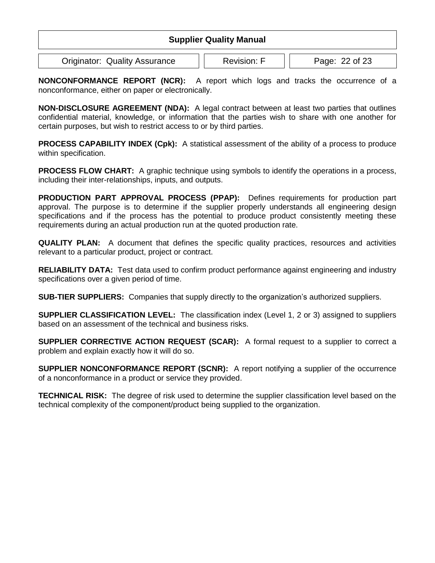| <b>Supplier Quality Manual</b>       |                    |                |  |  |
|--------------------------------------|--------------------|----------------|--|--|
| <b>Originator: Quality Assurance</b> | <b>Revision: F</b> | Page: 22 of 23 |  |  |

**NONCONFORMANCE REPORT (NCR):** A report which logs and tracks the occurrence of a nonconformance, either on paper or electronically.

**NON-DISCLOSURE AGREEMENT (NDA):** A legal contract between at least two parties that outlines confidential material, knowledge, or information that the parties wish to share with one another for certain purposes, but wish to restrict access to or by third parties.

**PROCESS CAPABILITY INDEX (Cpk):** A statistical assessment of the ability of a process to produce within specification.

**PROCESS FLOW CHART:** A graphic technique using symbols to identify the operations in a process, including their inter-relationships, inputs, and outputs.

**PRODUCTION PART APPROVAL PROCESS (PPAP):** Defines requirements for production part approval. The purpose is to determine if the supplier properly understands all engineering design specifications and if the process has the potential to produce product consistently meeting these requirements during an actual production run at the quoted production rate.

**QUALITY PLAN:** A document that defines the specific quality practices, resources and activities relevant to a particular product, project or contract.

**RELIABILITY DATA:** Test data used to confirm product performance against engineering and industry specifications over a given period of time.

**SUB-TIER SUPPLIERS:** Companies that supply directly to the organization's authorized suppliers.

**SUPPLIER CLASSIFICATION LEVEL:** The classification index (Level 1, 2 or 3) assigned to suppliers based on an assessment of the technical and business risks.

**SUPPLIER CORRECTIVE ACTION REQUEST (SCAR):** A formal request to a supplier to correct a problem and explain exactly how it will do so.

**SUPPLIER NONCONFORMANCE REPORT (SCNR):** A report notifying a supplier of the occurrence of a nonconformance in a product or service they provided.

**TECHNICAL RISK:** The degree of risk used to determine the supplier classification level based on the technical complexity of the component/product being supplied to the organization.